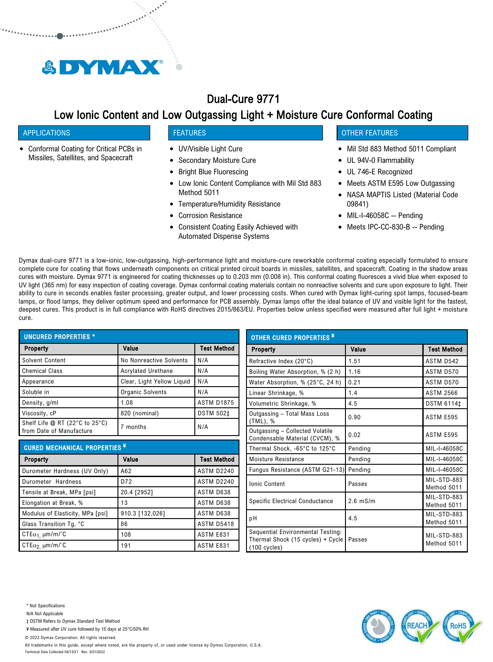

# Dual-Cure 9771

# Low Ionic Content and Low Outgassing Light + Moisture Cure Conformal Coating

## APPLICATIONS

Conformal Coating for Critical PCBs in Missiles, Satellites, and Spacecraft

## FEATURES

- UV/Visible Light Cure
- Secondary Moisture Cure  $\bullet$
- Bright Blue Fluorescing
- Low Ionic Content Compliance with Mil Std 883 Method 5011
- Temperature/Humidity Resistance
- Corrosion Resistance
- Consistent Coating Easily Achieved with Automated Dispense Systems

# OTHER FEATURES

- Mil Std 883 Method 5011 Compliant
- UL 94V-0 Flammability
- UL 746-E Recognized
- Meets ASTM E595 Low Outgassing
- NASA MAPTIS Listed (Material Code  $\bullet$ 09841)
- MIL-I-46058C -- Pending
- Meets IPC-CC-830-B -- Pending

Dymax dual-cure 9771 is a low-ionic, low-outgassing, high-performance light and moisture-cure reworkable conformal coating especially formulated to ensure complete cure for coating that flows underneath components on critical printed circuit boards in missiles, satellites, and spacecraft. Coating in the shadow areas cures with moisture. Dymax 9771 is engineered for coating thicknesses up to 0.203 mm (0.008 in). This conformal coating fluoresces a vivid blue when exposed to UV light (365 nm) for easy inspection of coating coverage. Dymax conformal coating materials contain no nonreactive solvents and cure upon exposure to light. Their ability to cure in seconds enables faster processing, greater output, and lower processing costs. When cured with Dymax light-curing spot lamps, focused-beam lamps, or flood lamps, they deliver optimum speed and performance for PCB assembly. Dymax lamps offer the ideal balance of UV and visible light for the fastest, deepest cures. This product is in full compliance with RoHS directives 2015/863/EU. Properties below unless specified were measured after full light + moisture cure.

| <b>UNCURED PROPERTIES *</b>                                |                            |                    |
|------------------------------------------------------------|----------------------------|--------------------|
| Property                                                   | Value                      | <b>Test Method</b> |
| Solvent Content                                            | No Nonreactive Solvents    | N/A                |
| <b>Chemical Class</b>                                      | <b>Acrylated Urethane</b>  | N/A                |
| Appearance                                                 | Clear, Light Yellow Liguid | N/A                |
| Soluble in                                                 | Organic Solvents           | N/A                |
| Density, g/ml                                              | 1.08                       | <b>ASTM D1875</b>  |
| Viscosity, cP                                              | 820 (nominal)              | <b>DSTM 502‡</b>   |
| Shelf Life @ RT (22°C to 25°C)<br>from Date of Manufacture | 7 months                   | N/A                |

| <b>CURED MECHANICAL PROPERTIES ¥</b> |                 |                    |
|--------------------------------------|-----------------|--------------------|
| Property                             | Value           | <b>Test Method</b> |
| Durometer Hardness (UV Only)         | A62             | <b>ASTM D2240</b>  |
| Durometer Hardness                   | D72             | <b>ASTM D2240</b>  |
| Tensile at Break, MPa [psi]          | 20.4 [2952]     | ASTM D638          |
| Elongation at Break, %               | 13              | ASTM D638          |
| Modulus of Elasticity, MPa [psi]     | 910.3 [132,026] | ASTM D638          |
| Glass Transition Tg, °C              | 86              | <b>ASTM D5418</b>  |
| CTE $\alpha_1$ , $\mu$ m/m/°C        | 108             | ASTM E831          |
| CTE $\alpha_2$ um/m/°C               | 191             | ASTM E831          |

| <b>OTHER CURED PROPERTIES ¥</b>                                                          |            |                            |
|------------------------------------------------------------------------------------------|------------|----------------------------|
| Property                                                                                 | Value      | <b>Test Method</b>         |
| Refractive Index (20°C)                                                                  | 1.51       | ASTM D542                  |
| Boiling Water Absorption, % (2 h)                                                        | 1.16       | ASTM D570                  |
| Water Absorption, % (25°C, 24 h)                                                         | 0.21       | ASTM D570                  |
| Linear Shrinkage, %                                                                      | 1.4        | <b>ASTM 2566</b>           |
| Volumetric Shrinkage, %                                                                  | 4.5        | <b>DSTM 6114‡</b>          |
| Outgassing - Total Mass Loss<br>$(TML)$ , %                                              | 0.90       | ASTM E595                  |
| Outgassing - Collected Volatile<br>Condensable Material (CVCM), %                        | 0.02       | ASTM E595                  |
| Thermal Shock, -65°C to 125°C                                                            | Pending    | MIL-I-46058C               |
| Moisture Resistance                                                                      | Pending    | MIL-I-46058C               |
| Fungus Resistance (ASTM G21-13)                                                          | Pending    | MIL-I-46058C               |
| <b>Ionic Content</b>                                                                     | Passes     | MIL-STD-883<br>Method 5011 |
| <b>Specific Electrical Conductance</b>                                                   | $2.6$ mS/m | MIL-STD-883<br>Method 5011 |
| рH                                                                                       | 4.5        | MIL-STD-883<br>Method 5011 |
| Sequential Environmental Testing:<br>Thermal Shock (15 cycles) + Cycle<br>$(100$ cycles) | Passes     | MIL-STD-883<br>Method 5011 |

- N/A Not Applicable
- ‡ DSTM Refers to Dymax Standard Test Method

¥ Measured after UV cure followed by 15 days at 25°C/50% RH

© 2022 Dymax Corporation. All rights reserved.

All trademarks in this guide, except where noted, are the property of, or used under license by Dymax Corporation, U.S.A. Technical Data Collected 04/13/21 Rev. 3/31/2022

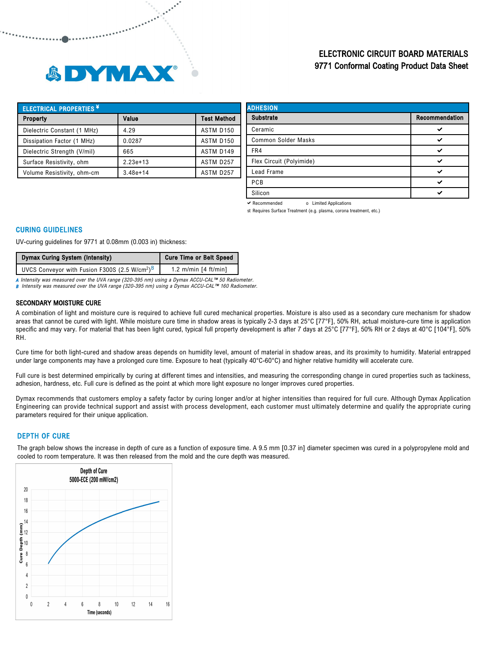

# ELECTRONIC CIRCUIT BOARD MATERIALS 9771 Conformal Coating Product Data Sheet

| <b>ELECTRICAL PROPERTIES *</b> |              |                    |
|--------------------------------|--------------|--------------------|
| Property                       | Value        | <b>Test Method</b> |
| Dielectric Constant (1 MHz)    | 4.29         | ASTM D150          |
| Dissipation Factor (1 MHz)     | 0.0287       | ASTM D150          |
| Dielectric Strength (V/mil)    | 665          | ASTM D149          |
| Surface Resistivity, ohm       | $2.23e+13$   | ASTM D257          |
| Volume Resistivity, ohm-cm     | $3.48e + 14$ | ASTM D257          |

| <b>ADHESION</b>            |                |  |
|----------------------------|----------------|--|
| <b>Substrate</b>           | Recommendation |  |
| Ceramic                    |                |  |
| <b>Common Solder Masks</b> | ✓              |  |
| FR4                        | ✓              |  |
| Flex Circuit (Polyimide)   | ◡              |  |
| Lead Frame                 | ✓              |  |
| PCB                        | ر،             |  |
| Silicon                    | ◡              |  |

Recommended o Limited Applications

st Requires Surface Treatment (e.g. plasma, corona treatment, etc.)

#### CURING GUIDELINES

UV-curing guidelines for 9771 at 0.08mm (0.003 in) thickness:

| Dymax Curing System (Intensity)                                       | <b>Cure Time or Belt Speed</b> |  |
|-----------------------------------------------------------------------|--------------------------------|--|
| UVCS Conveyor with Fusion F300S (2.5 W/cm <sup>2</sup> ) <sup>B</sup> | 1.2 m/min $[4 ft/min]$         |  |

A Intensity was measured over the UVA range (320-395 nm) using a Dymax ACCU-CAL™ 50 Radiometer.<br>B Intensity was measured over the UVA range (320-395 nm) using a Dymax ACCU-CAL™ 160 Radiometer.

#### SECONDARY MOISTURE CURE

A combination of light and moisture cure is required to achieve full cured mechanical properties. Moisture is also used as a secondary cure mechanism for shadow areas that cannot be cured with light. While moisture cure time in shadow areas is typically 2-3 days at 25°C [77°F], 50% RH, actual moisture-cure time is application specific and may vary. For material that has been light cured, typical full property development is after 7 days at 25°C [77°F], 50% RH or 2 days at 40°C [104°F], 50% RH.

Cure time for both light-cured and shadow areas depends on humidity level, amount of material in shadow areas, and its proximity to humidity. Material entrapped under large components may have a prolonged cure time. Exposure to heat (typically 40°C-60°C) and higher relative humidity will accelerate cure.

Full cure is best determined empirically by curing at different times and intensities, and measuring the corresponding change in cured properties such as tackiness, adhesion, hardness, etc. Full cure is defined as the point at which more light exposure no longer improves cured properties.

Dymax recommends that customers employ a safety factor by curing longer and/or at higher intensities than required for full cure. Although Dymax Application Engineering can provide technical support and assist with process development, each customer must ultimately determine and qualify the appropriate curing parameters required for their unique application.

## DEPTH OF CURE

The graph below shows the increase in depth of cure as a function of exposure time. A 9.5 mm [0.37 in] diameter specimen was cured in a polypropylene mold and cooled to room temperature. It was then released from the mold and the cure depth was measured.

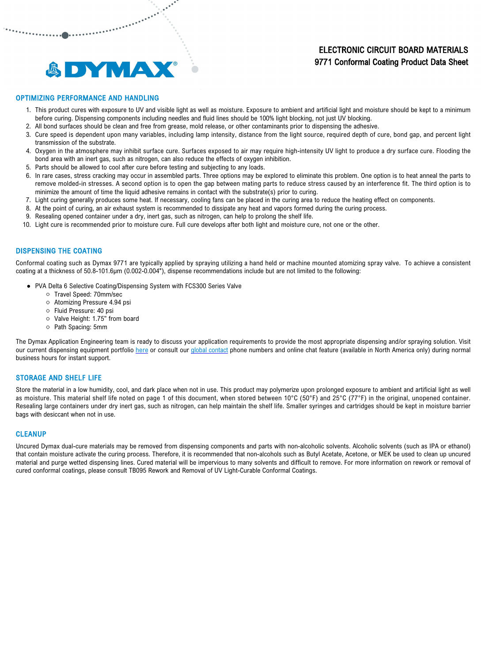# ELECTRONIC CIRCUIT BOARD MATERIALS 9771 Conformal Coating Product Data Sheet



## OPTIMIZING PERFORMANCE AND HANDLING

- 1. This product cures with exposure to UV and visible light as well as moisture. Exposure to ambient and artificial light and moisture should be kept to a minimum before curing. Dispensing components including needles and fluid lines should be 100% light blocking, not just UV blocking.
- 2. All bond surfaces should be clean and free from grease, mold release, or other contaminants prior to dispensing the adhesive.
- 3. Cure speed is dependent upon many variables, including lamp intensity, distance from the light source, required depth of cure, bond gap, and percent light transmission of the substrate.
- 4. Oxygen in the atmosphere may inhibit surface cure. Surfaces exposed to air may require high-intensity UV light to produce a dry surface cure. Flooding the bond area with an inert gas, such as nitrogen, can also reduce the effects of oxygen inhibition.
- 5. Parts should be allowed to cool after cure before testing and subjecting to any loads.

العملي الاستعمالية<br>المستعملة<br>المستعملة

- 6. In rare cases, stress cracking may occur in assembled parts. Three options may be explored to eliminate this problem. One option is to heat anneal the parts to remove molded-in stresses. A second option is to open the gap between mating parts to reduce stress caused by an interference fit. The third option is to minimize the amount of time the liquid adhesive remains in contact with the substrate(s) prior to curing.
- 7. Light curing generally produces some heat. If necessary, cooling fans can be placed in the curing area to reduce the heating effect on components.
- 8. At the point of curing, an air exhaust system is recommended to dissipate any heat and vapors formed during the curing process.
- 9. Resealing opened container under a dry, inert gas, such as nitrogen, can help to prolong the shelf life.
- 10. Light cure is recommended prior to moisture cure. Full cure develops after both light and moisture cure, not one or the other.

## DISPENSING THE COATING

Conformal coating such as Dymax 9771 are typically applied by spraying utilizing a hand held or machine mounted atomizing spray valve. To achieve a consistent coating at a thickness of 50.8-101.6µm (0.002-0.004"), dispense recommendations include but are not limited to the following:

- PVA Delta 6 Selective Coating/Dispensing System with FCS300 Series Valve
	- Travel Speed: 70mm/sec
	- Atomizing Pressure 4.94 psi
	- Fluid Pressure: 40 psi
	- Valve Height: 1.75" from board
	- Path Spacing: 5mm

The Dymax Application Engineering team is ready to discuss your application requirements to provide the most appropriate dispensing and/or spraying solution. Visit our current dispensing equipment portfolio [here](https://dymax.com/products/equipment/dispensing-equipment) or consult our [global contact](https://dymax.com/sales-support/contact-us/global-contacts) phone numbers and online chat feature (available in North America only) during normal business hours for instant support.

#### STORAGE AND SHELF LIFE

Store the material in a low humidity, cool, and dark place when not in use. This product may polymerize upon prolonged exposure to ambient and artificial light as well as moisture. This material shelf life noted on page 1 of this document, when stored between 10°C (50°F) and 25°C (77°F) in the original, unopened container. Resealing large containers under dry inert gas, such as nitrogen, can help maintain the shelf life. Smaller syringes and cartridges should be kept in moisture barrier bags with desiccant when not in use.

#### **CLEANUP**

Uncured Dymax dual-cure materials may be removed from dispensing components and parts with non-alcoholic solvents. Alcoholic solvents (such as IPA or ethanol) that contain moisture activate the curing process. Therefore, it is recommended that non-alcohols such as Butyl Acetate, Acetone, or MEK be used to clean up uncured material and purge wetted dispensing lines. Cured material will be impervious to many solvents and difficult to remove. For more information on rework or removal of cured conformal coatings, please consult TB095 Rework and Removal of UV Light-Curable Conformal Coatings.